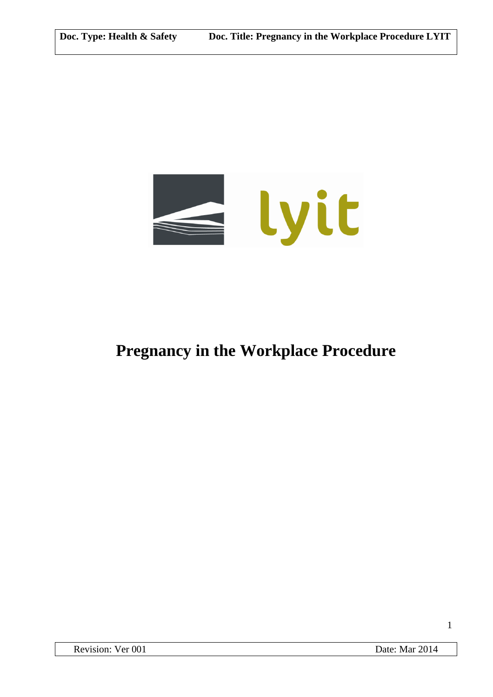

# **Pregnancy in the Workplace Procedure**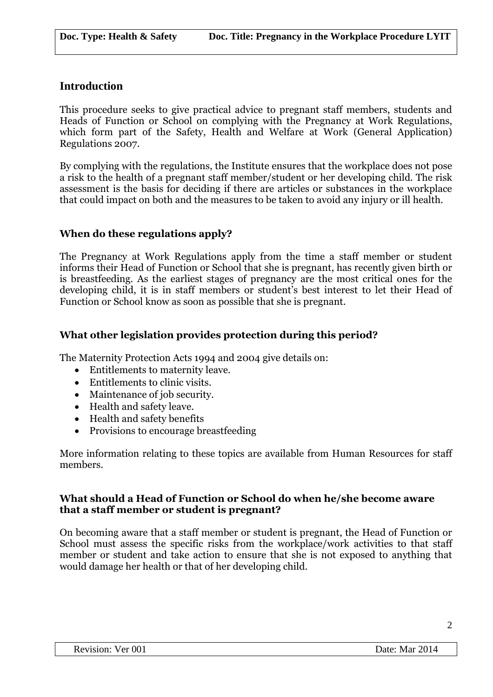# **Introduction**

This procedure seeks to give practical advice to pregnant staff members, students and Heads of Function or School on complying with the Pregnancy at Work Regulations, which form part of the Safety, Health and Welfare at Work (General Application) Regulations 2007.

By complying with the regulations, the Institute ensures that the workplace does not pose a risk to the health of a pregnant staff member/student or her developing child. The risk assessment is the basis for deciding if there are articles or substances in the workplace that could impact on both and the measures to be taken to avoid any injury or ill health.

# **When do these regulations apply?**

The Pregnancy at Work Regulations apply from the time a staff member or student informs their Head of Function or School that she is pregnant, has recently given birth or is breastfeeding. As the earliest stages of pregnancy are the most critical ones for the developing child, it is in staff members or student's best interest to let their Head of Function or School know as soon as possible that she is pregnant.

# **What other legislation provides protection during this period?**

The Maternity Protection Acts 1994 and 2004 give details on:

- Entitlements to maternity leave.
- Entitlements to clinic visits.
- Maintenance of job security.
- Health and safety leave.
- Health and safety benefits
- Provisions to encourage breastfeeding

More information relating to these topics are available from Human Resources for staff members.

#### **What should a Head of Function or School do when he/she become aware that a staff member or student is pregnant?**

On becoming aware that a staff member or student is pregnant, the Head of Function or School must assess the specific risks from the workplace/work activities to that staff member or student and take action to ensure that she is not exposed to anything that would damage her health or that of her developing child.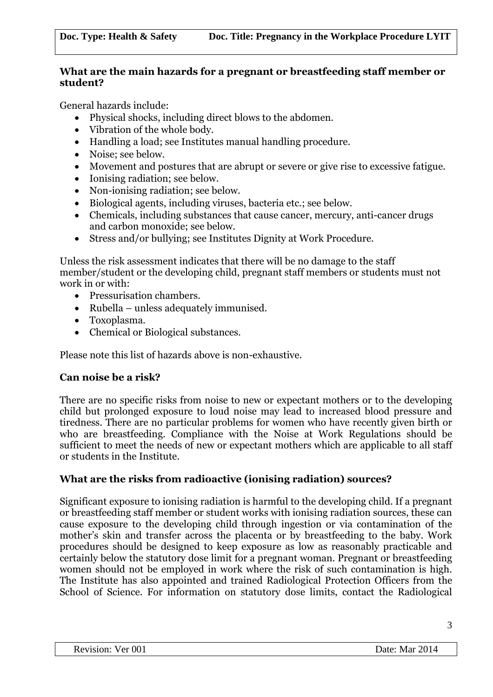## **What are the main hazards for a pregnant or breastfeeding staff member or student?**

General hazards include:

- Physical shocks, including direct blows to the abdomen.
- Vibration of the whole body.
- Handling a load; see Institutes manual handling procedure.
- Noise: see below.
- Movement and postures that are abrupt or severe or give rise to excessive fatigue.
- Ionising radiation: see below.
- Non-ionising radiation; see below.
- Biological agents, including viruses, bacteria etc.; see below.
- Chemicals, including substances that cause cancer, mercury, anti-cancer drugs and carbon monoxide; see below.
- Stress and/or bullying; see Institutes Dignity at Work Procedure.

Unless the risk assessment indicates that there will be no damage to the staff member/student or the developing child, pregnant staff members or students must not work in or with:

- Pressurisation chambers.
- Rubella unless adequately immunised.
- Toxoplasma.
- Chemical or Biological substances.

Please note this list of hazards above is non-exhaustive.

# **Can noise be a risk?**

There are no specific risks from noise to new or expectant mothers or to the developing child but prolonged exposure to loud noise may lead to increased blood pressure and tiredness. There are no particular problems for women who have recently given birth or who are breastfeeding. Compliance with the Noise at Work Regulations should be sufficient to meet the needs of new or expectant mothers which are applicable to all staff or students in the Institute.

# **What are the risks from radioactive (ionising radiation) sources?**

Significant exposure to ionising radiation is harmful to the developing child. If a pregnant or breastfeeding staff member or student works with ionising radiation sources, these can cause exposure to the developing child through ingestion or via contamination of the mother's skin and transfer across the placenta or by breastfeeding to the baby. Work procedures should be designed to keep exposure as low as reasonably practicable and certainly below the statutory dose limit for a pregnant woman. Pregnant or breastfeeding women should not be employed in work where the risk of such contamination is high. The Institute has also appointed and trained Radiological Protection Officers from the School of Science. For information on statutory dose limits, contact the Radiological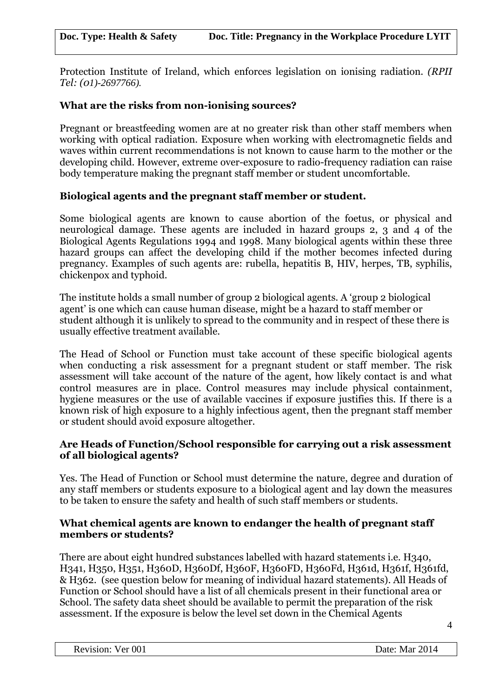Protection Institute of Ireland, which enforces legislation on ionising radiation. *(RPII Tel: (01)-2697766).*

## **What are the risks from non-ionising sources?**

Pregnant or breastfeeding women are at no greater risk than other staff members when working with optical radiation. Exposure when working with electromagnetic fields and waves within current recommendations is not known to cause harm to the mother or the developing child. However, extreme over-exposure to radio-frequency radiation can raise body temperature making the pregnant staff member or student uncomfortable.

## **Biological agents and the pregnant staff member or student.**

Some biological agents are known to cause abortion of the foetus, or physical and neurological damage. These agents are included in hazard groups 2, 3 and 4 of the Biological Agents Regulations 1994 and 1998. Many biological agents within these three hazard groups can affect the developing child if the mother becomes infected during pregnancy. Examples of such agents are: rubella, hepatitis B, HIV, herpes, TB, syphilis, chickenpox and typhoid.

The institute holds a small number of group 2 biological agents. A 'group 2 biological agent' is one which can cause human disease, might be a hazard to staff member or student although it is unlikely to spread to the community and in respect of these there is usually effective treatment available.

The Head of School or Function must take account of these specific biological agents when conducting a risk assessment for a pregnant student or staff member. The risk assessment will take account of the nature of the agent, how likely contact is and what control measures are in place. Control measures may include physical containment, hygiene measures or the use of available vaccines if exposure justifies this. If there is a known risk of high exposure to a highly infectious agent, then the pregnant staff member or student should avoid exposure altogether.

## **Are Heads of Function/School responsible for carrying out a risk assessment of all biological agents?**

Yes. The Head of Function or School must determine the nature, degree and duration of any staff members or students exposure to a biological agent and lay down the measures to be taken to ensure the safety and health of such staff members or students.

#### **What chemical agents are known to endanger the health of pregnant staff members or students?**

There are about eight hundred substances labelled with hazard statements i.e. H340, H341, H350, H351, H360D, H360Df, H360F, H360FD, H360Fd, H361d, H361f, H361fd, & H362. (see question below for meaning of individual hazard statements). All Heads of Function or School should have a list of all chemicals present in their functional area or School. The safety data sheet should be available to permit the preparation of the risk assessment. If the exposure is below the level set down in the Chemical Agents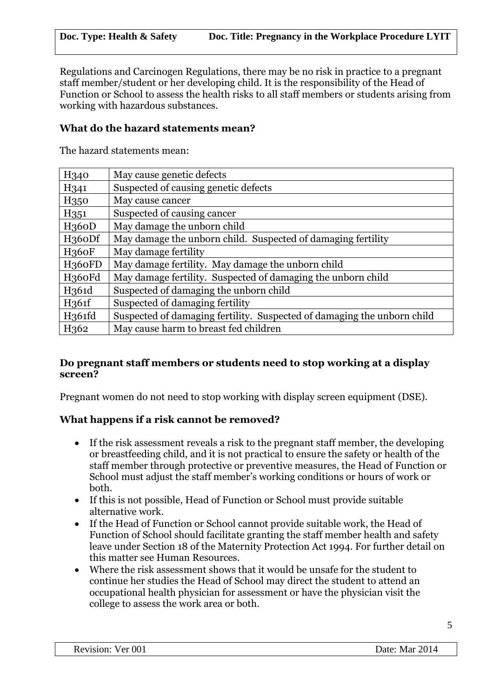Regulations and Carcinogen Regulations, there may be no risk in practice to a pregnant staff member/student or her developing child. It is the responsibility of the Head of Function or School to assess the health risks to all staff members or students arising from working with hazardous substances.

## **What do the hazard statements mean?**

The hazard statements mean:

| H <sub>340</sub>    | May cause genetic defects                                               |
|---------------------|-------------------------------------------------------------------------|
| H <sub>341</sub>    | Suspected of causing genetic defects                                    |
| H <sub>350</sub>    | May cause cancer                                                        |
| H <sub>351</sub>    | Suspected of causing cancer                                             |
| H <sub>360</sub> D  | May damage the unborn child                                             |
| H <sub>3</sub> 60Df | May damage the unborn child. Suspected of damaging fertility            |
| <b>H360F</b>        | May damage fertility                                                    |
| H <sub>360FD</sub>  | May damage fertility. May damage the unborn child                       |
| H <sub>360Fd</sub>  | May damage fertility. Suspected of damaging the unborn child            |
| H361d               | Suspected of damaging the unborn child                                  |
| H <sub>361f</sub>   | Suspected of damaging fertility                                         |
| H <sub>361fd</sub>  | Suspected of damaging fertility. Suspected of damaging the unborn child |
| H <sub>362</sub>    | May cause harm to breast fed children                                   |

## **Do pregnant staff members or students need to stop working at a display screen?**

Pregnant women do not need to stop working with display screen equipment (DSE).

#### **What happens if a risk cannot be removed?**

- If the risk assessment reveals a risk to the pregnant staff member, the developing or breastfeeding child, and it is not practical to ensure the safety or health of the staff member through protective or preventive measures, the Head of Function or School must adjust the staff member's working conditions or hours of work or both.
- If this is not possible, Head of Function or School must provide suitable alternative work.
- If the Head of Function or School cannot provide suitable work, the Head of Function of School should facilitate granting the staff member health and safety leave under Section 18 of the Maternity Protection Act 1994. For further detail on this matter see Human Resources.
- Where the risk assessment shows that it would be unsafe for the student to continue her studies the Head of School may direct the student to attend an occupational health physician for assessment or have the physician visit the college to assess the work area or both.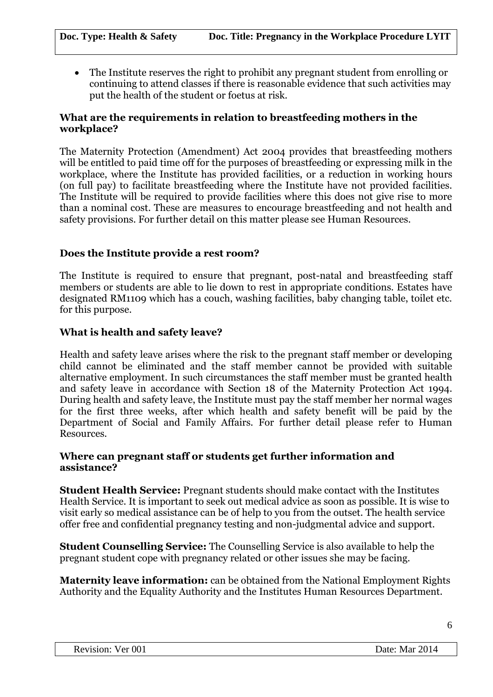The Institute reserves the right to prohibit any pregnant student from enrolling or continuing to attend classes if there is reasonable evidence that such activities may put the health of the student or foetus at risk.

#### **What are the requirements in relation to breastfeeding mothers in the workplace?**

The Maternity Protection (Amendment) Act 2004 provides that breastfeeding mothers will be entitled to paid time off for the purposes of breastfeeding or expressing milk in the workplace, where the Institute has provided facilities, or a reduction in working hours (on full pay) to facilitate breastfeeding where the Institute have not provided facilities. The Institute will be required to provide facilities where this does not give rise to more than a nominal cost. These are measures to encourage breastfeeding and not health and safety provisions. For further detail on this matter please see Human Resources.

## **Does the Institute provide a rest room?**

The Institute is required to ensure that pregnant, post-natal and breastfeeding staff members or students are able to lie down to rest in appropriate conditions. Estates have designated RM1109 which has a couch, washing facilities, baby changing table, toilet etc. for this purpose.

#### **What is health and safety leave?**

Health and safety leave arises where the risk to the pregnant staff member or developing child cannot be eliminated and the staff member cannot be provided with suitable alternative employment. In such circumstances the staff member must be granted health and safety leave in accordance with Section 18 of the Maternity Protection Act 1994. During health and safety leave, the Institute must pay the staff member her normal wages for the first three weeks, after which health and safety benefit will be paid by the Department of Social and Family Affairs. For further detail please refer to Human Resources.

#### **Where can pregnant staff or students get further information and assistance?**

**Student Health Service:** Pregnant students should make contact with the Institutes Health Service. It is important to seek out medical advice as soon as possible. It is wise to visit early so medical assistance can be of help to you from the outset. The health service offer free and confidential pregnancy testing and non-judgmental advice and support.

**Student Counselling Service:** The Counselling Service is also available to help the pregnant student cope with pregnancy related or other issues she may be facing.

**Maternity leave information:** can be obtained from the National Employment Rights Authority and the Equality Authority and the Institutes Human Resources Department.